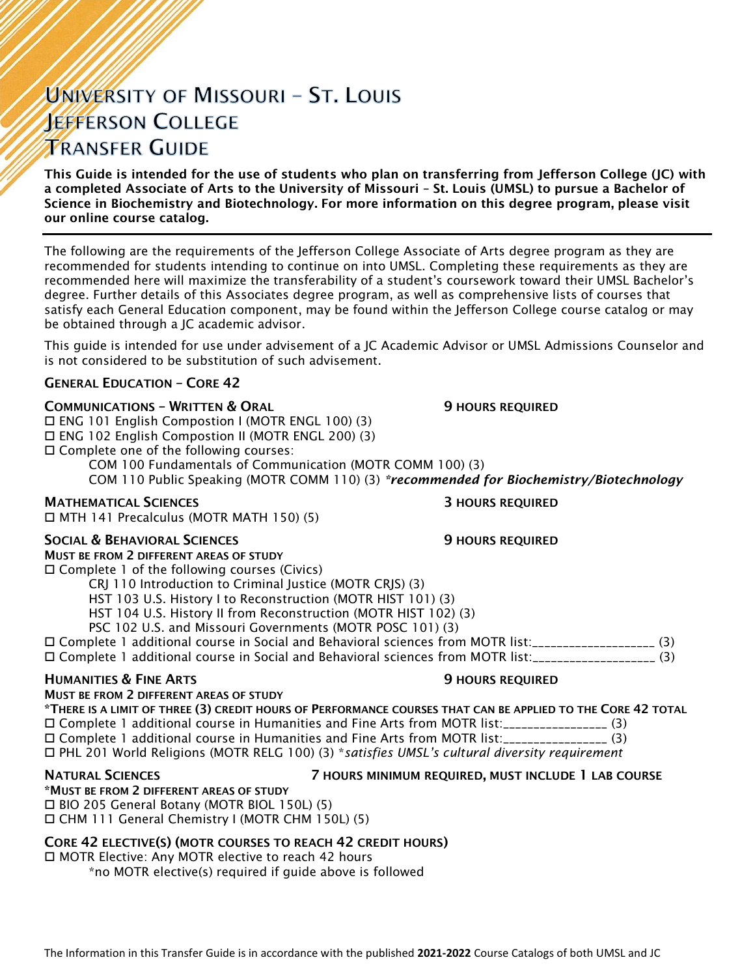# UNIVERSITY OF MISSOURI - ST. LOUIS **JEFFERSON COLLEGE TRANSFER GUIDE**

This Guide is intended for the use of students who plan on transferring from Jefferson College (JC) with a completed Associate of Arts to the University of Missouri – St. Louis (UMSL) to pursue a Bachelor of Science in Biochemistry and Biotechnology. For more information on this degree program, please visit our online course catalog.

The following are the requirements of the Jefferson College Associate of Arts degree program as they are recommended for students intending to continue on into UMSL. Completing these requirements as they are recommended here will maximize the transferability of a student's coursework toward their UMSL Bachelor's degree. Further details of this Associates degree program, as well as comprehensive lists of courses that satisfy each General Education component, may be found within the Jefferson College course catalog or may be obtained through a JC academic advisor.

This guide is intended for use under advisement of a JC Academic Advisor or UMSL Admissions Counselor and is not considered to be substitution of such advisement.

### GENERAL EDUCATION – CORE 42

### **COMMUNICATIONS - WRITTEN & ORAL 5 AU SERVICE SEX ASSESSED AT AU SERVICE OF STATIONS REQUIRED**

 ENG 101 English Compostion I (MOTR ENGL 100) (3) ENG 102 English Compostion II (MOTR ENGL 200) (3) Complete one of the following courses:

COM 100 Fundamentals of Communication (MOTR COMM 100) (3)

COM 110 Public Speaking (MOTR COMM 110) (3) *\*recommended for Biochemistry/Biotechnology*

### **MATHEMATICAL SCIENCES 3 HOURS REQUIRED**

MTH 141 Precalculus (MOTR MATH 150) (5)

### SOCIAL & BEHAVIORAL SCIENCES **19 SOCIAL SEPTEMBER 19 HOURS REQUIRED**

MUST BE FROM 2 DIFFERENT AREAS OF STUDY

Complete 1 of the following courses (Civics)

CRJ 110 Introduction to Criminal Justice (MOTR CRJS) (3)

HST 103 U.S. History I to Reconstruction (MOTR HIST 101) (3)

HST 104 U.S. History II from Reconstruction (MOTR HIST 102) (3)

PSC 102 U.S. and Missouri Governments (MOTR POSC 101) (3)

 Complete 1 additional course in Social and Behavioral sciences from MOTR list:\_\_\_\_\_\_\_\_\_\_\_\_\_\_\_\_\_\_\_\_ (3) Complete 1 additional course in Social and Behavioral sciences from MOTR list:\_\_\_\_\_\_\_\_\_\_\_\_\_\_\_\_\_\_\_\_ (3)

### **HUMANITIES & FINE ARTS 19 ACCESS 20 HOURS REQUIRED**

MUST BE FROM 2 DIFFERENT AREAS OF STUDY

\*THERE IS A LIMIT OF THREE (3) CREDIT HOURS OF PERFORMANCE COURSES THAT CAN BE APPLIED TO THE CORE 42 TOTAL Complete 1 additional course in Humanities and Fine Arts from MOTR list:\_\_\_\_\_\_\_\_\_\_\_\_\_\_\_\_\_ (3) Complete 1 additional course in Humanities and Fine Arts from MOTR list:\_\_\_\_\_\_\_\_\_\_\_\_\_\_\_\_\_ (3) PHL 201 World Religions (MOTR RELG 100) (3) \**satisfies UMSL's cultural diversity requirement*

NATURAL SCIENCES 7 HOURS MINIMUM REQUIRED, MUST INCLUDE 1 LAB COURSE

\*MUST BE FROM 2 DIFFERENT AREAS OF STUDY BIO 205 General Botany (MOTR BIOL 150L) (5)

CHM 111 General Chemistry I (MOTR CHM 150L) (5)

### CORE 42 ELECTIVE(S) (MOTR COURSES TO REACH 42 CREDIT HOURS)

□ MOTR Elective: Any MOTR elective to reach 42 hours

\*no MOTR elective(s) required if guide above is followed